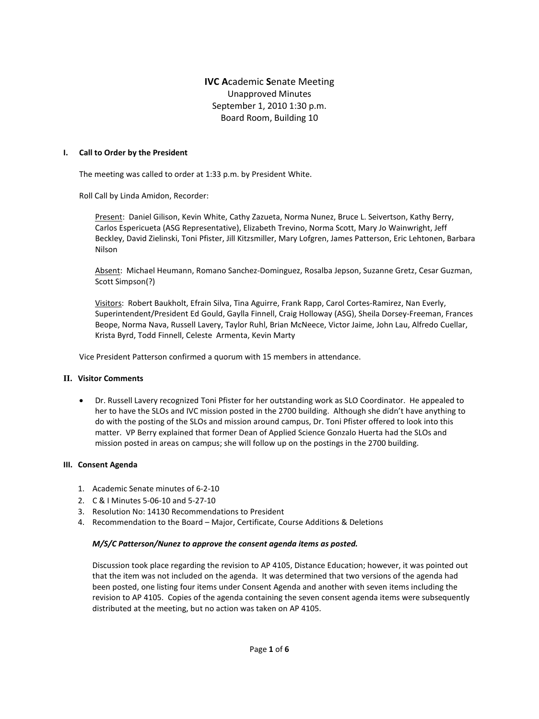# **IVC A**cademic **S**enate Meeting Unapproved Minutes September 1, 2010 1:30 p.m. Board Room, Building 10

#### **I. Call to Order by the President**

The meeting was called to order at 1:33 p.m. by President White.

Roll Call by Linda Amidon, Recorder:

Present: Daniel Gilison, Kevin White, Cathy Zazueta, Norma Nunez, Bruce L. Seivertson, Kathy Berry, Carlos Espericueta (ASG Representative), Elizabeth Trevino, Norma Scott, Mary Jo Wainwright, Jeff Beckley, David Zielinski, Toni Pfister, Jill Kitzsmiller, Mary Lofgren, James Patterson, Eric Lehtonen, Barbara Nilson

Absent: Michael Heumann, Romano Sanchez-Dominguez, Rosalba Jepson, Suzanne Gretz, Cesar Guzman, Scott Simpson(?)

Visitors: Robert Baukholt, Efrain Silva, Tina Aguirre, Frank Rapp, Carol Cortes-Ramirez, Nan Everly, Superintendent/President Ed Gould, Gaylla Finnell, Craig Holloway (ASG), Sheila Dorsey-Freeman, Frances Beope, Norma Nava, Russell Lavery, Taylor Ruhl, Brian McNeece, Victor Jaime, John Lau, Alfredo Cuellar, Krista Byrd, Todd Finnell, Celeste Armenta, Kevin Marty

Vice President Patterson confirmed a quorum with 15 members in attendance.

#### **II. Visitor Comments**

• Dr. Russell Lavery recognized Toni Pfister for her outstanding work as SLO Coordinator. He appealed to her to have the SLOs and IVC mission posted in the 2700 building. Although she didn't have anything to do with the posting of the SLOs and mission around campus, Dr. Toni Pfister offered to look into this matter. VP Berry explained that former Dean of Applied Science Gonzalo Huerta had the SLOs and mission posted in areas on campus; she will follow up on the postings in the 2700 building.

#### **III. Consent Agenda**

- 1. Academic Senate minutes of 6-2-10
- 2. C & I Minutes 5-06-10 and 5-27-10
- 3. Resolution No: 14130 Recommendations to President
- 4. Recommendation to the Board Major, Certificate, Course Additions & Deletions

### *M/S/C Patterson/Nunez to approve the consent agenda items as posted.*

Discussion took place regarding the revision to AP 4105, Distance Education; however, it was pointed out that the item was not included on the agenda. It was determined that two versions of the agenda had been posted, one listing four items under Consent Agenda and another with seven items including the revision to AP 4105. Copies of the agenda containing the seven consent agenda items were subsequently distributed at the meeting, but no action was taken on AP 4105.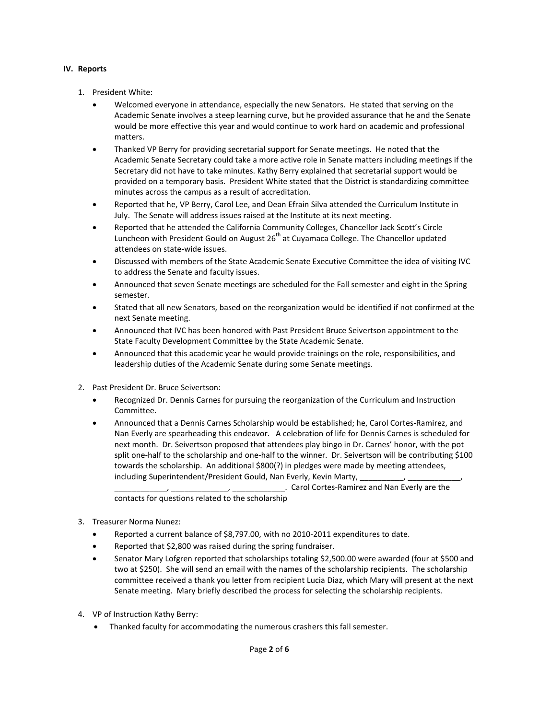### **IV. Reports**

- 1. President White:
	- Welcomed everyone in attendance, especially the new Senators. He stated that serving on the Academic Senate involves a steep learning curve, but he provided assurance that he and the Senate would be more effective this year and would continue to work hard on academic and professional matters.
	- Thanked VP Berry for providing secretarial support for Senate meetings. He noted that the Academic Senate Secretary could take a more active role in Senate matters including meetings if the Secretary did not have to take minutes. Kathy Berry explained that secretarial support would be provided on a temporary basis. President White stated that the District is standardizing committee minutes across the campus as a result of accreditation.
	- Reported that he, VP Berry, Carol Lee, and Dean Efrain Silva attended the Curriculum Institute in July. The Senate will address issues raised at the Institute at its next meeting.
	- Reported that he attended the California Community Colleges, Chancellor Jack Scott's Circle Luncheon with President Gould on August  $26<sup>th</sup>$  at Cuyamaca College. The Chancellor updated attendees on state-wide issues.
	- Discussed with members of the State Academic Senate Executive Committee the idea of visiting IVC to address the Senate and faculty issues.
	- Announced that seven Senate meetings are scheduled for the Fall semester and eight in the Spring semester.
	- Stated that all new Senators, based on the reorganization would be identified if not confirmed at the next Senate meeting.
	- Announced that IVC has been honored with Past President Bruce Seivertson appointment to the State Faculty Development Committee by the State Academic Senate.
	- Announced that this academic year he would provide trainings on the role, responsibilities, and leadership duties of the Academic Senate during some Senate meetings.
- 2. Past President Dr. Bruce Seivertson:
	- Recognized Dr. Dennis Carnes for pursuing the reorganization of the Curriculum and Instruction Committee.
	- Announced that a Dennis Carnes Scholarship would be established; he, Carol Cortes-Ramirez, and Nan Everly are spearheading this endeavor. A celebration of life for Dennis Carnes is scheduled for next month. Dr. Seivertson proposed that attendees play bingo in Dr. Carnes' honor, with the pot split one-half to the scholarship and one-half to the winner. Dr. Seivertson will be contributing \$100 towards the scholarship. An additional \$800(?) in pledges were made by meeting attendees, including Superintendent/President Gould, Nan Everly, Kevin Marty,

\_\_\_\_\_\_\_\_\_\_\_\_, \_\_\_\_\_\_\_\_\_\_\_\_\_, \_\_\_\_\_\_\_\_\_\_\_\_. Carol Cortes-Ramirez and Nan Everly are the contacts for questions related to the scholarship

- 3. Treasurer Norma Nunez:
	- Reported a current balance of \$8,797.00, with no 2010-2011 expenditures to date.
	- Reported that \$2,800 was raised during the spring fundraiser.
	- Senator Mary Lofgren reported that scholarships totaling \$2,500.00 were awarded (four at \$500 and two at \$250). She will send an email with the names of the scholarship recipients. The scholarship committee received a thank you letter from recipient Lucia Diaz, which Mary will present at the next Senate meeting. Mary briefly described the process for selecting the scholarship recipients.
- 4. VP of Instruction Kathy Berry:
	- Thanked faculty for accommodating the numerous crashers this fall semester.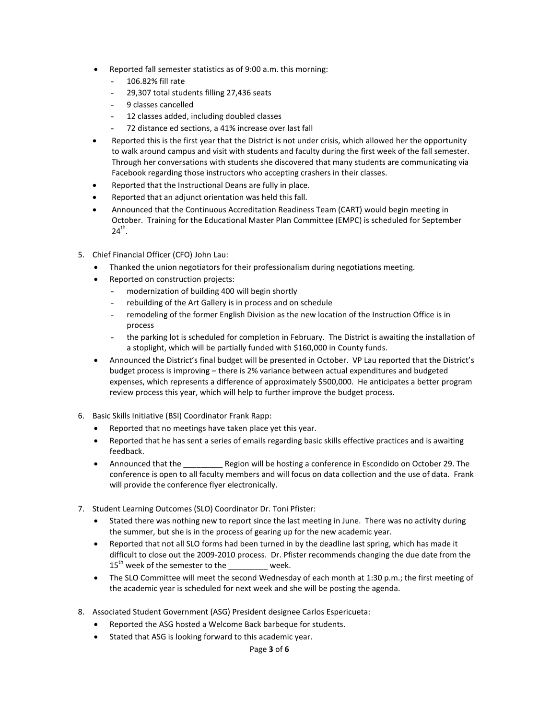- Reported fall semester statistics as of 9:00 a.m. this morning:
	- 106.82% fill rate
	- 29,307 total students filling 27,436 seats
	- 9 classes cancelled
	- 12 classes added, including doubled classes
	- 72 distance ed sections, a 41% increase over last fall
- Reported this is the first year that the District is not under crisis, which allowed her the opportunity to walk around campus and visit with students and faculty during the first week of the fall semester. Through her conversations with students she discovered that many students are communicating via Facebook regarding those instructors who accepting crashers in their classes.
- Reported that the Instructional Deans are fully in place.
- Reported that an adjunct orientation was held this fall.
- Announced that the Continuous Accreditation Readiness Team (CART) would begin meeting in October. Training for the Educational Master Plan Committee (EMPC) is scheduled for September  $24^{th}$ .
- 5. Chief Financial Officer (CFO) John Lau:
	- Thanked the union negotiators for their professionalism during negotiations meeting.
	- Reported on construction projects:
		- modernization of building 400 will begin shortly
		- rebuilding of the Art Gallery is in process and on schedule
		- remodeling of the former English Division as the new location of the Instruction Office is in process
		- the parking lot is scheduled for completion in February. The District is awaiting the installation of a stoplight, which will be partially funded with \$160,000 in County funds.
	- Announced the District's final budget will be presented in October. VP Lau reported that the District's budget process is improving – there is 2% variance between actual expenditures and budgeted expenses, which represents a difference of approximately \$500,000. He anticipates a better program review process this year, which will help to further improve the budget process.
- 6. Basic Skills Initiative (BSI) Coordinator Frank Rapp:
	- Reported that no meetings have taken place yet this year.
	- Reported that he has sent a series of emails regarding basic skills effective practices and is awaiting feedback.
	- Announced that the **Region will be hosting a conference in Escondido on October 29. The** conference is open to all faculty members and will focus on data collection and the use of data. Frank will provide the conference flyer electronically.
- 7. Student Learning Outcomes (SLO) Coordinator Dr. Toni Pfister:
	- Stated there was nothing new to report since the last meeting in June. There was no activity during the summer, but she is in the process of gearing up for the new academic year.
	- Reported that not all SLO forms had been turned in by the deadline last spring, which has made it difficult to close out the 2009-2010 process. Dr. Pfister recommends changing the due date from the  $15^{th}$  week of the semester to the \_\_\_\_\_\_\_\_ week.
	- The SLO Committee will meet the second Wednesday of each month at 1:30 p.m.; the first meeting of the academic year is scheduled for next week and she will be posting the agenda.
- 8. Associated Student Government (ASG) President designee Carlos Espericueta:
	- Reported the ASG hosted a Welcome Back barbeque for students.
	- Stated that ASG is looking forward to this academic year.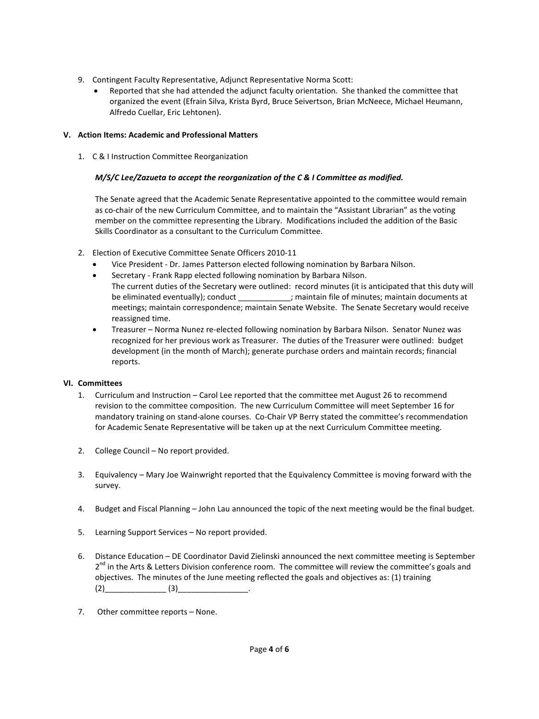- 9. Contingent Faculty Representative, Adjunct Representative Norma Scott:
	- Reported that she had attended the adjunct faculty orientation. She thanked the committee that organized the event (Efrain Silva, Krista Byrd, Bruce Seivertson, Brian McNeece, Michael Heumann, Alfredo Cuellar, Eric Lehtonen).

### **V. Action Items: Academic and Professional Matters**

1. C & I Instruction Committee Reorganization

### *M/S/C Lee/Zazueta to accept the reorganization of the C & I Committee as modified.*

The Senate agreed that the Academic Senate Representative appointed to the committee would remain as co-chair of the new Curriculum Committee, and to maintain the "Assistant Librarian" as the voting member on the committee representing the Library. Modifications included the addition of the Basic Skills Coordinator as a consultant to the Curriculum Committee.

- 2. Election of Executive Committee Senate Officers 2010-11
	- Vice President Dr. James Patterson elected following nomination by Barbara Nilson.
	- Secretary Frank Rapp elected following nomination by Barbara Nilson.
	- The current duties of the Secretary were outlined: record minutes (it is anticipated that this duty will be eliminated eventually); conduct \_\_\_\_\_\_\_\_\_\_; maintain file of minutes; maintain documents at meetings; maintain correspondence; maintain Senate Website. The Senate Secretary would receive reassigned time.
	- Treasurer Norma Nunez re-elected following nomination by Barbara Nilson. Senator Nunez was recognized for her previous work as Treasurer. The duties of the Treasurer were outlined: budget development (in the month of March); generate purchase orders and maintain records; financial reports.

### **VI. Committees**

- 1. Curriculum and Instruction Carol Lee reported that the committee met August 26 to recommend revision to the committee composition. The new Curriculum Committee will meet September 16 for mandatory training on stand-alone courses. Co-Chair VP Berry stated the committee's recommendation for Academic Senate Representative will be taken up at the next Curriculum Committee meeting.
- 2. College Council No report provided.
- 3. Equivalency Mary Joe Wainwright reported that the Equivalency Committee is moving forward with the survey.
- 4. Budget and Fiscal Planning John Lau announced the topic of the next meeting would be the final budget.
- 5. Learning Support Services No report provided.
- 6. Distance Education DE Coordinator David Zielinski announced the next committee meeting is September  $2^{nd}$  in the Arts & Letters Division conference room. The committee will review the committee's goals and objectives. The minutes of the June meeting reflected the goals and objectives as: (1) training  $(2)$  (3)
- 7. Other committee reports None.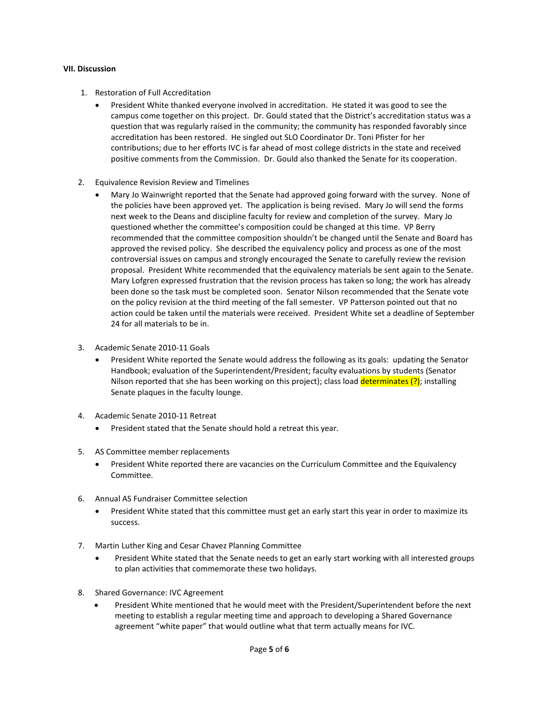#### **VII. Discussion**

- 1. Restoration of Full Accreditation
	- President White thanked everyone involved in accreditation. He stated it was good to see the campus come together on this project. Dr. Gould stated that the District's accreditation status was a question that was regularly raised in the community; the community has responded favorably since accreditation has been restored. He singled out SLO Coordinator Dr. Toni Pfister for her contributions; due to her efforts IVC is far ahead of most college districts in the state and received positive comments from the Commission. Dr. Gould also thanked the Senate for its cooperation.
- 2. Equivalence Revision Review and Timelines
	- Mary Jo Wainwright reported that the Senate had approved going forward with the survey. None of the policies have been approved yet. The application is being revised. Mary Jo will send the forms next week to the Deans and discipline faculty for review and completion of the survey. Mary Jo questioned whether the committee's composition could be changed at this time. VP Berry recommended that the committee composition shouldn't be changed until the Senate and Board has approved the revised policy. She described the equivalency policy and process as one of the most controversial issues on campus and strongly encouraged the Senate to carefully review the revision proposal. President White recommended that the equivalency materials be sent again to the Senate. Mary Lofgren expressed frustration that the revision process has taken so long; the work has already been done so the task must be completed soon. Senator Nilson recommended that the Senate vote on the policy revision at the third meeting of the fall semester. VP Patterson pointed out that no action could be taken until the materials were received. President White set a deadline of September 24 for all materials to be in.
- 3. Academic Senate 2010-11 Goals
	- President White reported the Senate would address the following as its goals: updating the Senator Handbook; evaluation of the Superintendent/President; faculty evaluations by students (Senator Nilson reported that she has been working on this project); class load determinates  $(?)$ ; installing Senate plaques in the faculty lounge.
- 4. Academic Senate 2010-11 Retreat
	- President stated that the Senate should hold a retreat this year.
- 5. AS Committee member replacements
	- President White reported there are vacancies on the Curriculum Committee and the Equivalency Committee.
- 6. Annual AS Fundraiser Committee selection
	- President White stated that this committee must get an early start this year in order to maximize its success.
- 7. Martin Luther King and Cesar Chavez Planning Committee
	- President White stated that the Senate needs to get an early start working with all interested groups to plan activities that commemorate these two holidays.
- 8. Shared Governance: IVC Agreement
	- President White mentioned that he would meet with the President/Superintendent before the next meeting to establish a regular meeting time and approach to developing a Shared Governance agreement "white paper" that would outline what that term actually means for IVC.